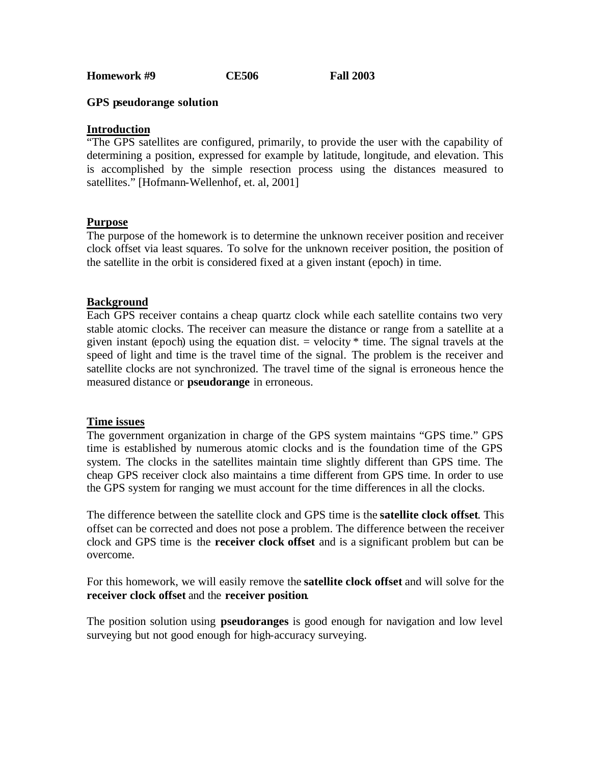**Homework #9 CE506 Fall 2003**

## **GPS pseudorange solution**

## **Introduction**

"The GPS satellites are configured, primarily, to provide the user with the capability of determining a position, expressed for example by latitude, longitude, and elevation. This is accomplished by the simple resection process using the distances measured to satellites." [Hofmann-Wellenhof, et. al, 2001]

## **Purpose**

The purpose of the homework is to determine the unknown receiver position and receiver clock offset via least squares. To solve for the unknown receiver position, the position of the satellite in the orbit is considered fixed at a given instant (epoch) in time.

## **Background**

Each GPS receiver contains a cheap quartz clock while each satellite contains two very stable atomic clocks. The receiver can measure the distance or range from a satellite at a given instant (epoch) using the equation dist.  $=$  velocity  $*$  time. The signal travels at the speed of light and time is the travel time of the signal. The problem is the receiver and satellite clocks are not synchronized. The travel time of the signal is erroneous hence the measured distance or **pseudorange** in erroneous.

#### **Time issues**

The government organization in charge of the GPS system maintains "GPS time." GPS time is established by numerous atomic clocks and is the foundation time of the GPS system. The clocks in the satellites maintain time slightly different than GPS time. The cheap GPS receiver clock also maintains a time different from GPS time. In order to use the GPS system for ranging we must account for the time differences in all the clocks.

The difference between the satellite clock and GPS time is the **satellite clock offset**. This offset can be corrected and does not pose a problem. The difference between the receiver clock and GPS time is the **receiver clock offset** and is a significant problem but can be overcome.

For this homework, we will easily remove the **satellite clock offset** and will solve for the **receiver clock offset** and the **receiver position**.

The position solution using **pseudoranges** is good enough for navigation and low level surveying but not good enough for high-accuracy surveying.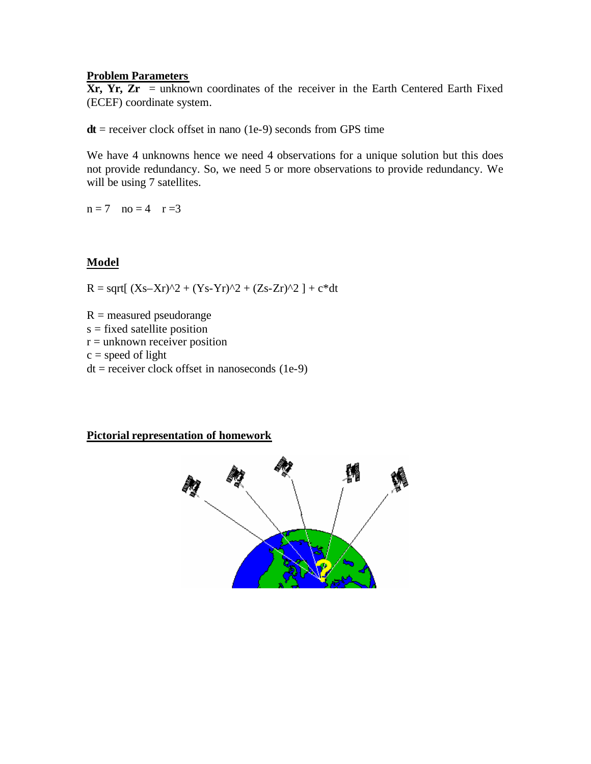## **Problem Parameters**

 $Xr, Yr, Zr$  = unknown coordinates of the receiver in the Earth Centered Earth Fixed (ECEF) coordinate system.

 $dt$  = receiver clock offset in nano (1e-9) seconds from GPS time

We have 4 unknowns hence we need 4 observations for a unique solution but this does not provide redundancy. So, we need 5 or more observations to provide redundancy. We will be using 7 satellites.

 $n = 7$   $no = 4$   $r = 3$ 

# **Model**

 $R = \sqrt{(Xs-Xr)^2 + (Ys-Yr)^2 + (Zs-Zr)^2} + c*dt$ 

 $R =$  measured pseudorange s = fixed satellite position  $r =$  unknown receiver position  $c = speed of light$  $dt =$  receiver clock offset in nanoseconds (1e-9)

# **Pictorial representation of homework**

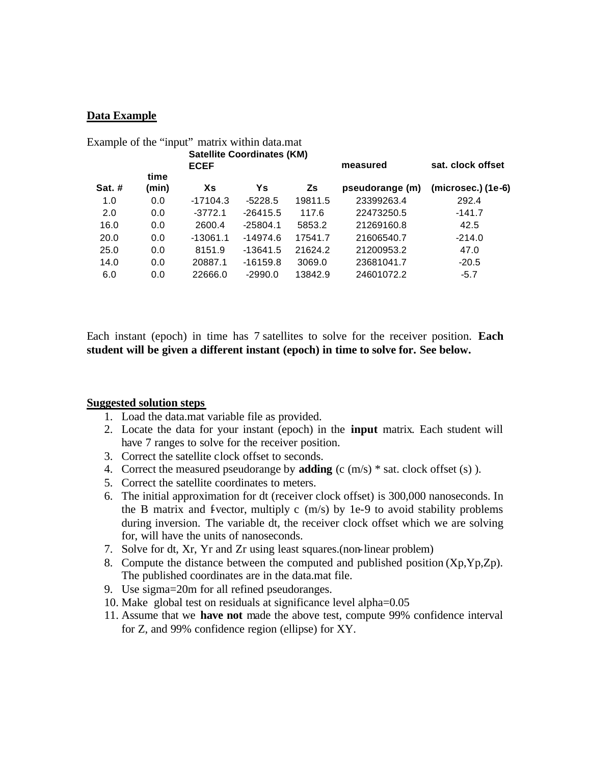## **Data Example**

| Example of the "input" matrix within data.mat |            |            |         |            |                    |
|-----------------------------------------------|------------|------------|---------|------------|--------------------|
| <b>Satellite Coordinates (KM)</b>             |            |            |         |            |                    |
| <b>ECEF</b>                                   |            |            |         | measured   | sat. clock offset  |
| time                                          |            |            |         |            |                    |
|                                               |            |            |         |            | (microsec.) (1e-6) |
| 0.0                                           | $-17104.3$ | $-5228.5$  | 19811.5 | 23399263.4 | 292.4              |
| 0.0                                           | $-3772.1$  | $-26415.5$ | 117.6   | 22473250.5 | $-141.7$           |
| 0.0                                           | 2600.4     | $-25804.1$ | 5853.2  | 21269160.8 | 42.5               |
| 0.0                                           | $-13061.1$ | $-14974.6$ | 17541.7 | 21606540.7 | $-214.0$           |
| 0.0                                           | 8151.9     | -13641.5   | 21624.2 | 21200953.2 | 47.0               |
| 0.0                                           | 20887.1    | $-16159.8$ | 3069.0  | 23681041.7 | $-20.5$            |
| 0.0                                           | 22666.0    | $-2990.0$  | 13842.9 | 24601072.2 | $-5.7$             |
|                                               | (min)      | Xs         | Ys      | Zs         | pseudorange (m)    |

Each instant (epoch) in time has 7 satellites to solve for the receiver position. **Each student will be given a different instant (epoch) in time to solve for. See below.** 

#### **Suggested solution steps**

- 1. Load the data.mat variable file as provided.
- 2. Locate the data for your instant (epoch) in the **input** matrix. Each student will have 7 ranges to solve for the receiver position.
- 3. Correct the satellite clock offset to seconds.
- 4. Correct the measured pseudorange by **adding** (c (m/s) \* sat. clock offset (s) ).
- 5. Correct the satellite coordinates to meters.
- 6. The initial approximation for dt (receiver clock offset) is 300,000 nanoseconds. In the B matrix and f-vector, multiply c  $(m/s)$  by 1e-9 to avoid stability problems during inversion. The variable dt, the receiver clock offset which we are solving for, will have the units of nanoseconds.
- 7. Solve for dt, Xr, Yr and Zr using least squares.(non-linear problem)
- 8. Compute the distance between the computed and published position  $(Xp, Yp, Zp)$ . The published coordinates are in the data.mat file.
- 9. Use sigma=20m for all refined pseudoranges.
- 10. Make global test on residuals at significance level alpha=0.05
- 11. Assume that we **have not** made the above test, compute 99% confidence interval for Z, and 99% confidence region (ellipse) for XY.